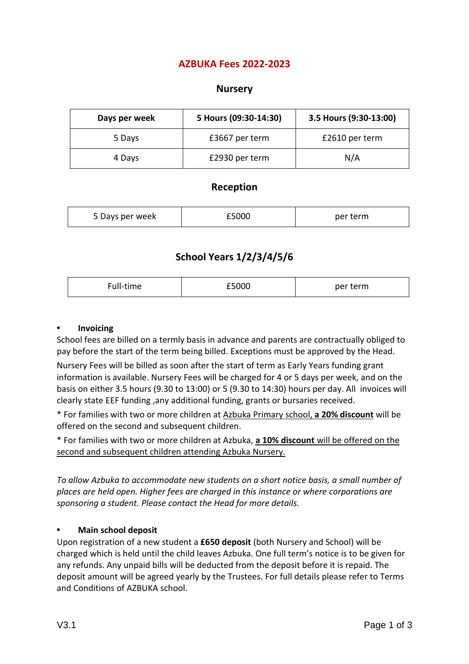# **AZBUKA Fees 2022-2023**

## **Nursery**

| Days per week | 5 Hours (09:30-14:30) | 3.5 Hours (9:30-13:00) |
|---------------|-----------------------|------------------------|
| 5 Days        | £3667 per term        | £2610 per term         |
| 4 Days        | £2930 per term        | N/A                    |

## **Reception**

| 5 Days per week | £5000 | per term |
|-----------------|-------|----------|
|                 |       |          |

# **School Years 1/2/3/4/5/6**

| Full-time<br>£5000<br>per term |  |  |  |
|--------------------------------|--|--|--|
|--------------------------------|--|--|--|

#### **• Invoicing**

School fees are billed on a termly basis in advance and parents are contractually obliged to pay before the start of the term being billed. Exceptions must be approved by the Head.

Nursery Fees will be billed as soon after the start of term as Early Years funding grant information is available. Nursery Fees will be charged for 4 or 5 days per week, and on the basis on either 3.5 hours (9.30 to 13:00) or 5 (9.30 to 14:30) hours per day. All invoices will clearly state EEF funding ,any additional funding, grants or bursaries received.

\* For families with two or more children at Azbuka Primary school, **a 20% discount** will be offered on the second and subsequent children.

\* For families with two or more children at Azbuka, **a 10% discount** will be offered on the second and subsequent children attending Azbuka Nursery.

*To allow Azbuka to accommodate new students on a short notice basis, a small number of places are held open. Higher fees are charged in this instance or where corporations are sponsoring a student. Please contact the Head for more details.*

### **• Main school deposit**

Upon registration of a new student a **£650 deposit** (both Nursery and School) will be charged which is held until the child leaves Azbuka. One full term's notice is to be given for any refunds. Any unpaid bills will be deducted from the deposit before it is repaid. The deposit amount will be agreed yearly by the Trustees. For full details please refer to Terms and Conditions of AZBUKA school.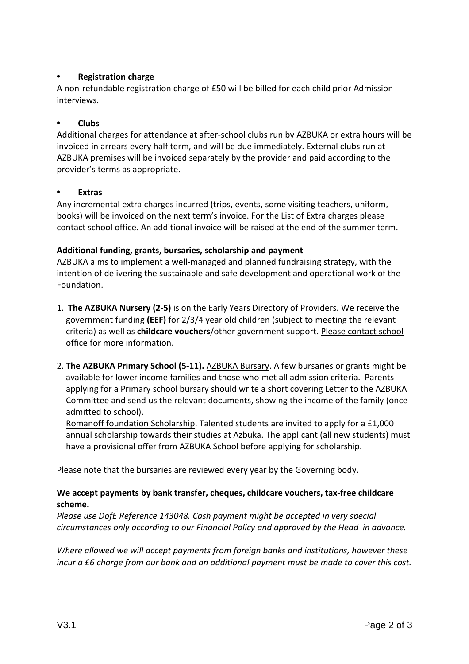### **• Registration charge**

A non-refundable registration charge of £50 will be billed for each child prior Admission interviews.

### **• Clubs**

Additional charges for attendance at after-school clubs run by AZBUKA or extra hours will be invoiced in arrears every half term, and will be due immediately. External clubs run at AZBUKA premises will be invoiced separately by the provider and paid according to the provider's terms as appropriate.

#### **• Extras**

Any incremental extra charges incurred (trips, events, some visiting teachers, uniform, books) will be invoiced on the next term's invoice. For the List of Extra charges please contact school office. An additional invoice will be raised at the end of the summer term.

### **Additional funding, grants, bursaries, scholarship and payment**

AZBUKA aims to implement a well-managed and planned fundraising strategy, with the intention of delivering the sustainable and safe development and operational work of the Foundation.

- 1. **The AZBUKA Nursery (2-5)** is on the Early Years Directory of Providers. We receive the government funding **(EEF)** for 2/3/4 year old children (subject to meeting the relevant criteria) as well as **childcare vouchers**/other government support. Please contact school office for more information.
- 2. **The AZBUKA Primary School (5-11).** AZBUKA Bursary. A few bursaries or grants might be available for lower income families and those who met all admission criteria. Parents applying for a Primary school bursary should write a short covering Letter to the AZBUKA Committee and send us the relevant documents, showing the income of the family (once admitted to school).

Romanoff foundation Scholarship. Talented students are invited to apply for a £1,000 annual scholarship towards their studies at Azbuka. The applicant (all new students) must have a provisional offer from AZBUKA School before applying for scholarship.

Please note that the bursaries are reviewed every year by the Governing body.

### **We accept payments by bank transfer, cheques, childcare vouchers, tax-free childcare scheme.**

*Please use DofE Reference 143048. Cash payment might be accepted in very special circumstances only according to our Financial Policy and approved by the Head in advance.*

*Where allowed we will accept payments from foreign banks and institutions, however these incur a £6 charge from our bank and an additional payment must be made to cover this cost.*